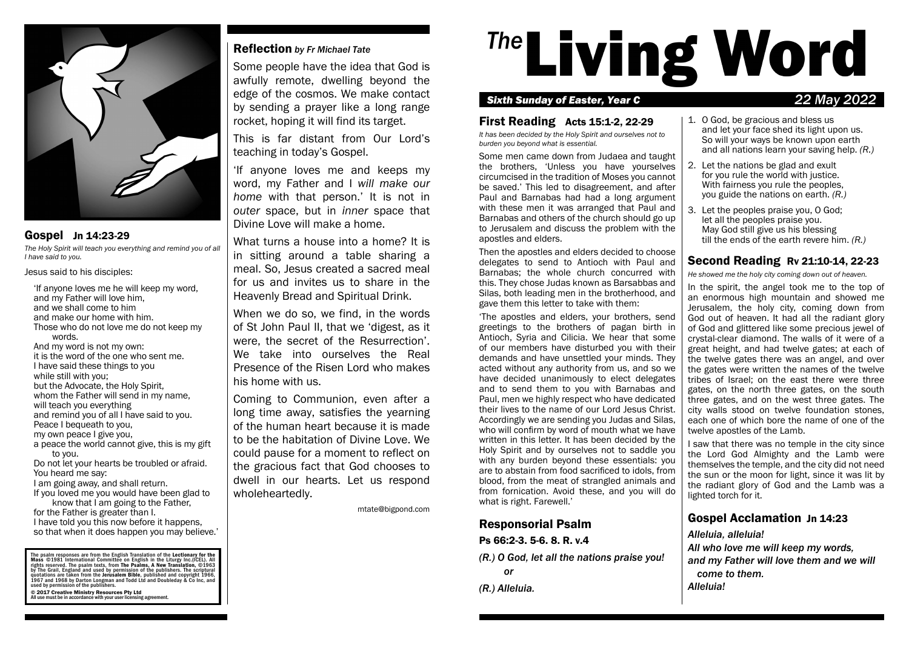

# Gospel Jn 14:23-29

*The Holy Spirit will teach you everything and remind you of all I have said to you.*

Jesus said to his disciples:

'If anyone loves me he will keep my word, and my Father will love him, and we shall come to him and make our home with him. Those who do not love me do not keep my words. And my word is not my own: it is the word of the one who sent me. I have said these things to you while still with you; but the Advocate, the Holy Spirit, whom the Father will send in my name, will teach you everything and remind you of all I have said to you. Peace I bequeath to you, my own peace I give you, a peace the world cannot give, this is my gift to you.

Do not let your hearts be troubled or afraid. You heard me say:

I am going away, and shall return.

- If you loved me you would have been glad to know that I am going to the Father,
- for the Father is greater than I.

### I have told you this now before it happens, so that when it does happen you may believe.'

The psalm responses are from the English Translation of the Lectionary for the<br>Mass ©1981 International Committee on English in the Liturgy Inc.(ICEL). All rights reserved. The psalm texts, from The Psalms, A New Transilation, ©1963<br>by The Grail, England and used by permission of the publishers. The scriptural<br>quotations are taken from the Jerusalem Bible, published and copyr © 2017 Creative Ministry Resources Pty Ltd All use must be in accordance with your user licensing agreement.

# Reflection *by Fr Michael Tate*

Some people have the idea that God is awfully remote, dwelling beyond the edge of the cosmos. We make contact by sending a prayer like a long range rocket, hoping it will find its target.

This is far distant from Our Lord's teaching in today's Gospel.

'If anyone loves me and keeps my word, my Father and I *will make our home* with that person.' It is not in *outer* space, but in *inner* space that Divine Love will make a home.

What turns a house into a home? It is in sitting around a table sharing a meal. So, Jesus created a sacred meal for us and invites us to share in the Heavenly Bread and Spiritual Drink.

When we do so, we find, in the words of St John Paul II, that we 'digest, as it were, the secret of the Resurrection'. We take into ourselves the Real Presence of the Risen Lord who makes his home with us.

Coming to Communion, even after a long time away, satisfies the yearning of the human heart because it is made to be the habitation of Divine Love. We could pause for a moment to reflect on the gracious fact that God chooses to dwell in our hearts. Let us respond wholeheartedly.

mtate@bigpond.com

# <sup>The</sup>Living Word

# *Sixth Sunday of Easter, Year C 22 May 2022*

# First Reading Acts 15:1-2, 22-29

*It has been decided by the Holy Spirit and ourselves not to burden you beyond what is essential.*

Some men came down from Judaea and taught the brothers, 'Unless you have yourselves circumcised in the tradition of Moses you cannot be saved.' This led to disagreement, and after Paul and Barnabas had had a long argument with these men it was arranged that Paul and Barnabas and others of the church should go up to Jerusalem and discuss the problem with the apostles and elders.

Then the apostles and elders decided to choose delegates to send to Antioch with Paul and Barnabas; the whole church concurred with this. They chose Judas known as Barsabbas and Silas, both leading men in the brotherhood, and gave them this letter to take with them:

'The apostles and elders, your brothers, send greetings to the brothers of pagan birth in Antioch, Syria and Cilicia. We hear that some of our members have disturbed you with their demands and have unsettled your minds. They acted without any authority from us, and so we have decided unanimously to elect delegates and to send them to you with Barnabas and Paul, men we highly respect who have dedicated their lives to the name of our Lord Jesus Christ. Accordingly we are sending you Judas and Silas, who will confirm by word of mouth what we have written in this letter. It has been decided by the Holy Spirit and by ourselves not to saddle you with any burden beyond these essentials: you are to abstain from food sacrificed to idols, from blood, from the meat of strangled animals and from fornication. Avoid these, and you will do what is right. Farewell.'

# Responsorial Psalm

Ps 66:2-3. 5-6. 8. R. v.4

- *(R.) O God, let all the nations praise you! or*
- *(R.) Alleluia.*

### 1. O God, be gracious and bless us and let your face shed its light upon us. So will your ways be known upon earth and all nations learn your saving help. *(R.)*

- 2. Let the nations be glad and exult for you rule the world with justice. With fairness you rule the peoples, you guide the nations on earth. *(R.)*
- 3. Let the peoples praise you, O God; let all the peoples praise you. May God still give us his blessing till the ends of the earth revere him. *(R.)*

# Second Reading Rv 21:10-14, 22-23

*He showed me the holy city coming down out of heaven.*

In the spirit, the angel took me to the top of an enormous high mountain and showed me Jerusalem, the holy city, coming down from God out of heaven. It had all the radiant glory of God and glittered like some precious jewel of crystal-clear diamond. The walls of it were of a great height, and had twelve gates; at each of the twelve gates there was an angel, and over the gates were written the names of the twelve tribes of Israel; on the east there were three gates, on the north three gates, on the south three gates, and on the west three gates. The city walls stood on twelve foundation stones, each one of which bore the name of one of the twelve apostles of the Lamb.

I saw that there was no temple in the city since the Lord God Almighty and the Lamb were themselves the temple, and the city did not need the sun or the moon for light, since it was lit by the radiant glory of God and the Lamb was a lighted torch for it.

# Gospel Acclamation Jn 14:23

*Alleluia, alleluia!*

*All who love me will keep my words, and my Father will love them and we will come to them. Alleluia!*